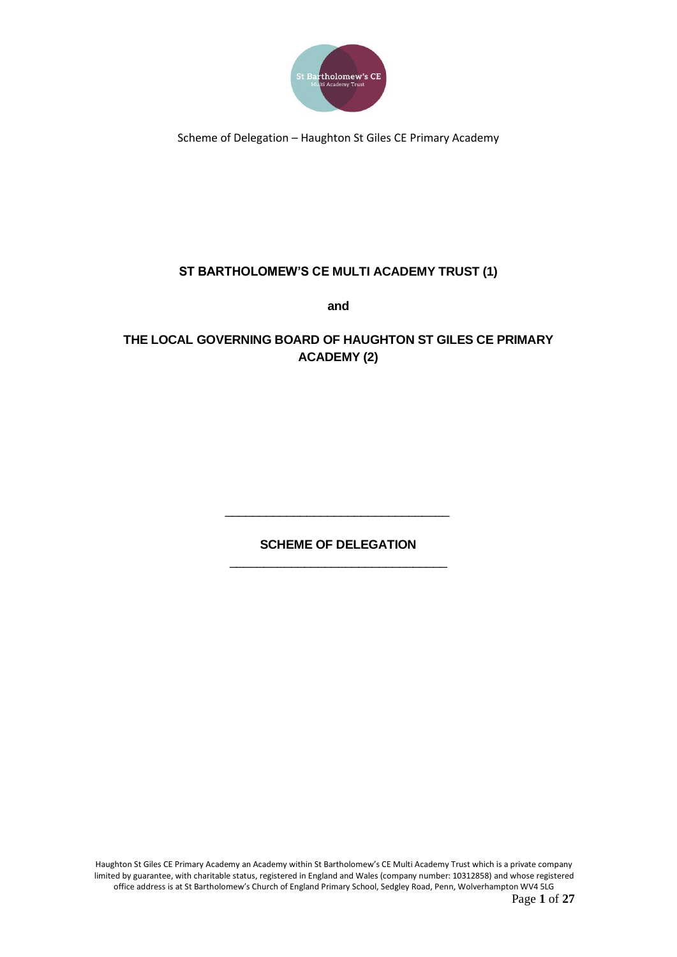

## **ST BARTHOLOMEW'S CE MULTI ACADEMY TRUST (1)**

**and**

## **THE LOCAL GOVERNING BOARD OF HAUGHTON ST GILES CE PRIMARY ACADEMY (2)**

## **SCHEME OF DELEGATION** \_\_\_\_\_\_\_\_\_\_\_\_\_\_\_\_\_\_\_\_\_\_\_\_\_\_\_\_\_\_\_\_

\_\_\_\_\_\_\_\_\_\_\_\_\_\_\_\_\_\_\_\_\_\_\_\_\_\_\_\_\_\_\_\_\_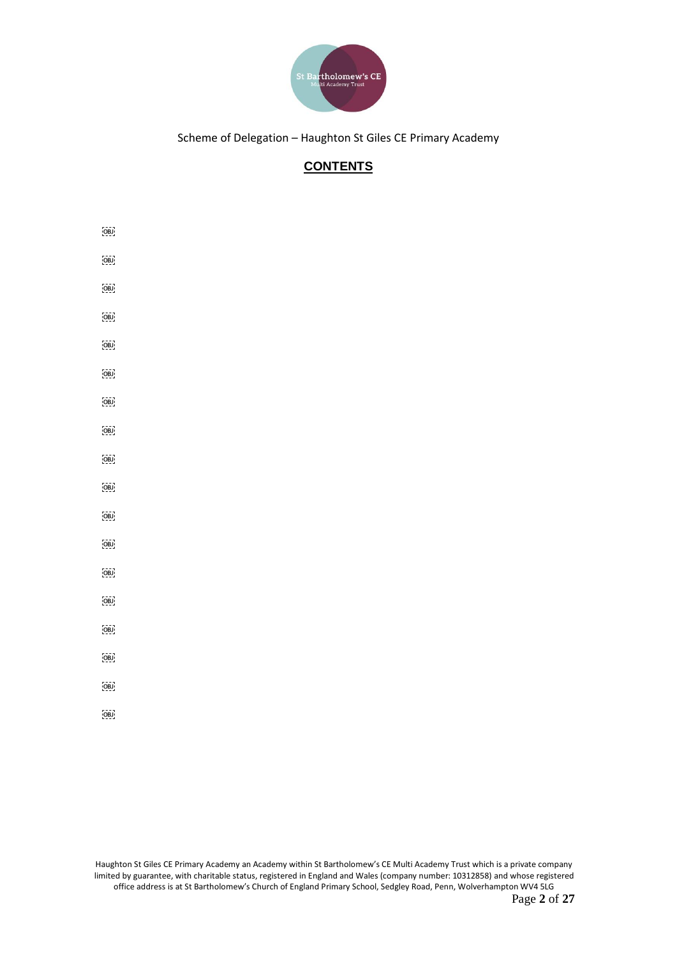

# **CONTENTS**

 $\overline{O}$ BJ  $\overline{\text{OBJ}}$  $\overline{O}$  $\overline{\text{OBJ}}$  $\overline{O}$  $\overline{[O\bar{B}]}$  $[O\bar{B}J]$  $\overline{[O\bar{B}]}$  $\overline{O}$  $[O\bar{B}J]$  $\overline{[O\bar{B}]}$  $\overline{\text{OBI}}$  $\overline{\text{OBI}}$  $\overline{[OBJ]}$  $[OB]$  $\overline{O}$  $\overline{[OBJ]}$  $\overline{[O\bar{B}]}$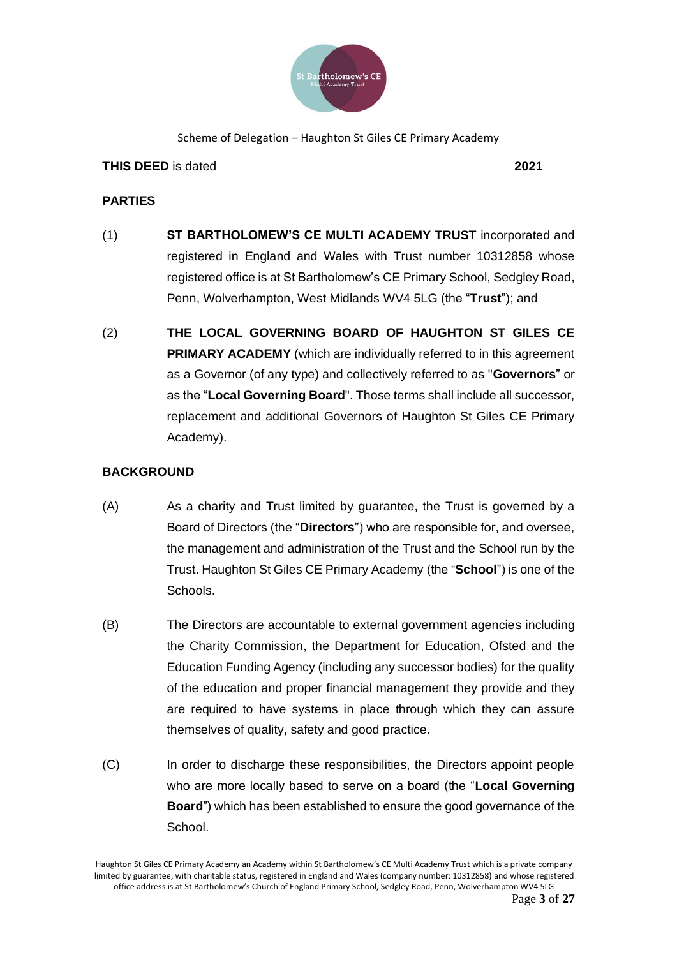

### **THIS DEED** is dated **2021**

### **PARTIES**

- (1) **ST BARTHOLOMEW'S CE MULTI ACADEMY TRUST** incorporated and registered in England and Wales with Trust number 10312858 whose registered office is at St Bartholomew's CE Primary School, Sedgley Road, Penn, Wolverhampton, West Midlands WV4 5LG (the "**Trust**"); and
- (2) **THE LOCAL GOVERNING BOARD OF HAUGHTON ST GILES CE PRIMARY ACADEMY** (which are individually referred to in this agreement as a Governor (of any type) and collectively referred to as "**Governors**" or as the "**Local Governing Board**". Those terms shall include all successor, replacement and additional Governors of Haughton St Giles CE Primary Academy).

### **BACKGROUND**

- (A) As a charity and Trust limited by guarantee, the Trust is governed by a Board of Directors (the "**Directors**") who are responsible for, and oversee, the management and administration of the Trust and the School run by the Trust. Haughton St Giles CE Primary Academy (the "**School**") is one of the Schools.
- (B) The Directors are accountable to external government agencies including the Charity Commission, the Department for Education, Ofsted and the Education Funding Agency (including any successor bodies) for the quality of the education and proper financial management they provide and they are required to have systems in place through which they can assure themselves of quality, safety and good practice.
- (C) In order to discharge these responsibilities, the Directors appoint people who are more locally based to serve on a board (the "**Local Governing Board**") which has been established to ensure the good governance of the School.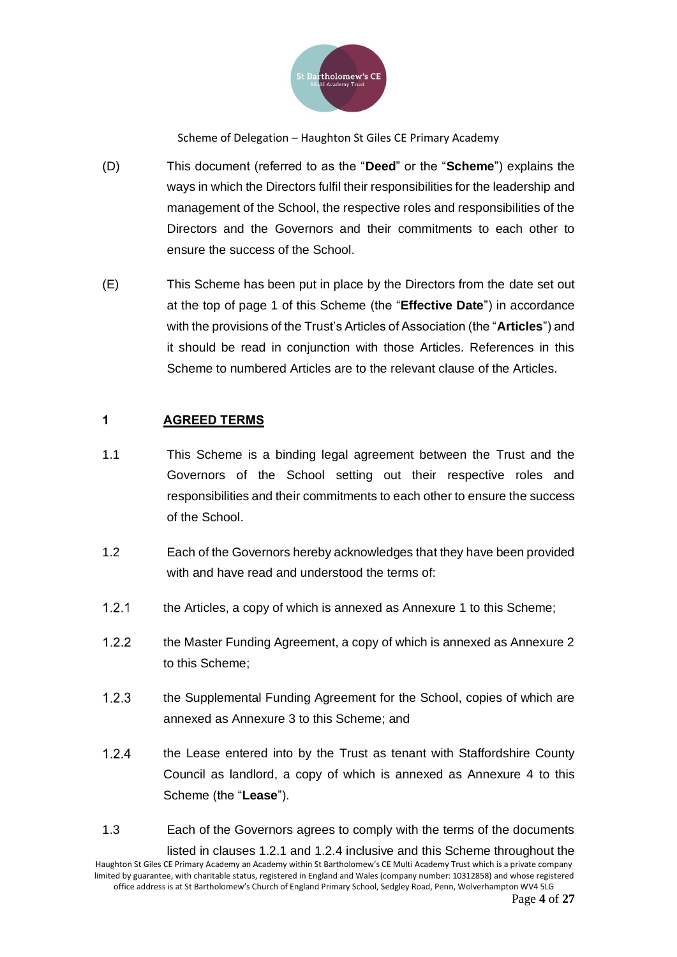

- (D) This document (referred to as the "**Deed**" or the "**Scheme**") explains the ways in which the Directors fulfil their responsibilities for the leadership and management of the School, the respective roles and responsibilities of the Directors and the Governors and their commitments to each other to ensure the success of the School.
- (E) This Scheme has been put in place by the Directors from the date set out at the top of page 1 of this Scheme (the "**Effective Date**") in accordance with the provisions of the Trust's Articles of Association (the "**Articles**") and it should be read in conjunction with those Articles. References in this Scheme to numbered Articles are to the relevant clause of the Articles.

### **1 AGREED TERMS**

- 1.1 This Scheme is a binding legal agreement between the Trust and the Governors of the School setting out their respective roles and responsibilities and their commitments to each other to ensure the success of the School.
- 1.2 Each of the Governors hereby acknowledges that they have been provided with and have read and understood the terms of:
- $1.2.1$ the Articles, a copy of which is annexed as Annexure 1 to this Scheme;
- $1.2.2$ the Master Funding Agreement, a copy of which is annexed as Annexure 2 to this Scheme;
- $1.2.3$ the Supplemental Funding Agreement for the School, copies of which are annexed as Annexure 3 to this Scheme; and
- $1.2.4$ the Lease entered into by the Trust as tenant with Staffordshire County Council as landlord, a copy of which is annexed as Annexure 4 to this Scheme (the "**Lease**").
- Haughton St Giles CE Primary Academy an Academy within St Bartholomew's CE Multi Academy Trust which is a private company limited by guarantee, with charitable status, registered in England and Wales (company number: 10312858) and whose registered office address is at St Bartholomew's Church of England Primary School, Sedgley Road, Penn, Wolverhampton WV4 5LG 1.3 Each of the Governors agrees to comply with the terms of the documents listed in clauses 1.2.1 and 1.2.4 inclusive and this Scheme throughout the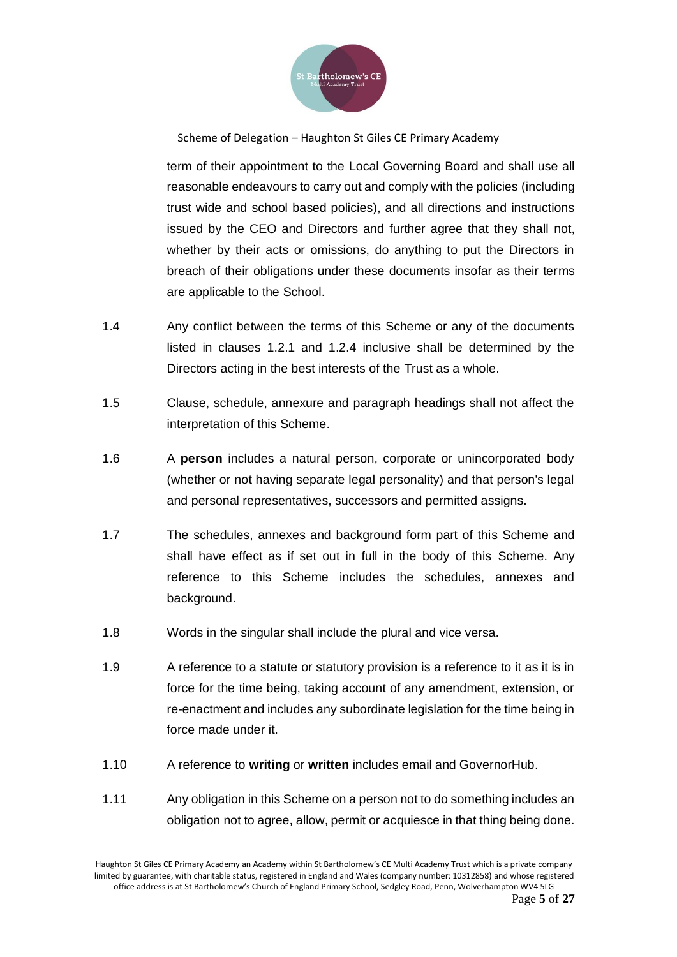

term of their appointment to the Local Governing Board and shall use all reasonable endeavours to carry out and comply with the policies (including trust wide and school based policies), and all directions and instructions issued by the CEO and Directors and further agree that they shall not, whether by their acts or omissions, do anything to put the Directors in breach of their obligations under these documents insofar as their terms are applicable to the School.

- 1.4 Any conflict between the terms of this Scheme or any of the documents listed in clauses 1.2.1 and 1.2.4 inclusive shall be determined by the Directors acting in the best interests of the Trust as a whole.
- 1.5 Clause, schedule, annexure and paragraph headings shall not affect the interpretation of this Scheme.
- 1.6 A **person** includes a natural person, corporate or unincorporated body (whether or not having separate legal personality) and that person's legal and personal representatives, successors and permitted assigns.
- 1.7 The schedules, annexes and background form part of this Scheme and shall have effect as if set out in full in the body of this Scheme. Any reference to this Scheme includes the schedules, annexes and background.
- 1.8 Words in the singular shall include the plural and vice versa.
- 1.9 A reference to a statute or statutory provision is a reference to it as it is in force for the time being, taking account of any amendment, extension, or re-enactment and includes any subordinate legislation for the time being in force made under it.
- 1.10 A reference to **writing** or **written** includes email and GovernorHub.
- 1.11 Any obligation in this Scheme on a person not to do something includes an obligation not to agree, allow, permit or acquiesce in that thing being done.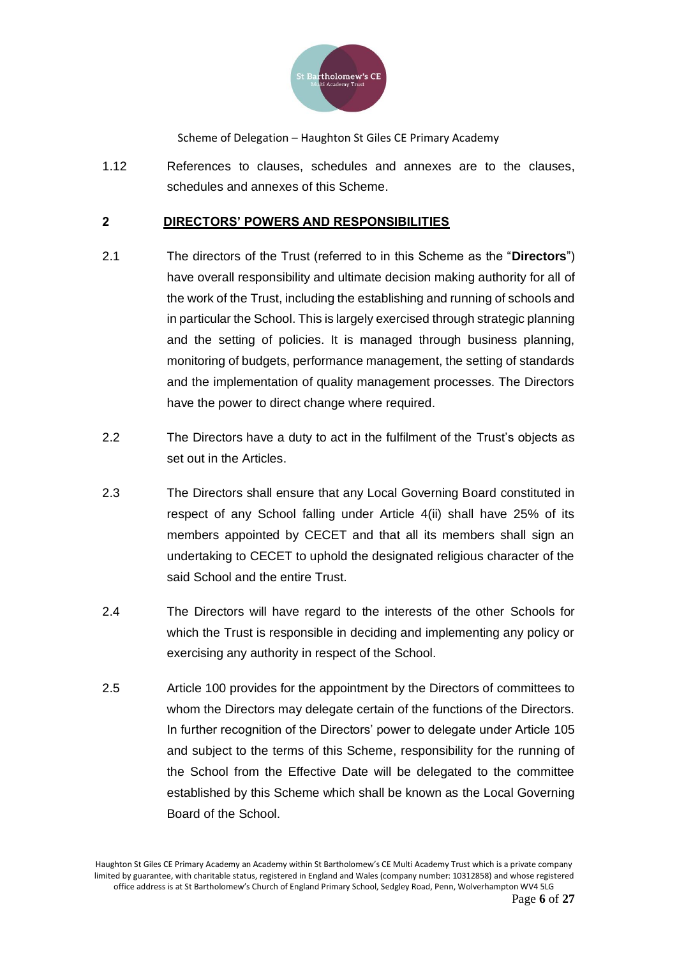

1.12 References to clauses, schedules and annexes are to the clauses, schedules and annexes of this Scheme.

### **2 DIRECTORS' POWERS AND RESPONSIBILITIES**

- 2.1 The directors of the Trust (referred to in this Scheme as the "**Directors**") have overall responsibility and ultimate decision making authority for all of the work of the Trust, including the establishing and running of schools and in particular the School. This is largely exercised through strategic planning and the setting of policies. It is managed through business planning, monitoring of budgets, performance management, the setting of standards and the implementation of quality management processes. The Directors have the power to direct change where required.
- 2.2 The Directors have a duty to act in the fulfilment of the Trust's objects as set out in the Articles.
- 2.3 The Directors shall ensure that any Local Governing Board constituted in respect of any School falling under Article 4(ii) shall have 25% of its members appointed by CECET and that all its members shall sign an undertaking to CECET to uphold the designated religious character of the said School and the entire Trust.
- 2.4 The Directors will have regard to the interests of the other Schools for which the Trust is responsible in deciding and implementing any policy or exercising any authority in respect of the School.
- 2.5 Article 100 provides for the appointment by the Directors of committees to whom the Directors may delegate certain of the functions of the Directors. In further recognition of the Directors' power to delegate under Article 105 and subject to the terms of this Scheme, responsibility for the running of the School from the Effective Date will be delegated to the committee established by this Scheme which shall be known as the Local Governing Board of the School.

Haughton St Giles CE Primary Academy an Academy within St Bartholomew's CE Multi Academy Trust which is a private company limited by guarantee, with charitable status, registered in England and Wales (company number: 10312858) and whose registered office address is at St Bartholomew's Church of England Primary School, Sedgley Road, Penn, Wolverhampton WV4 5LG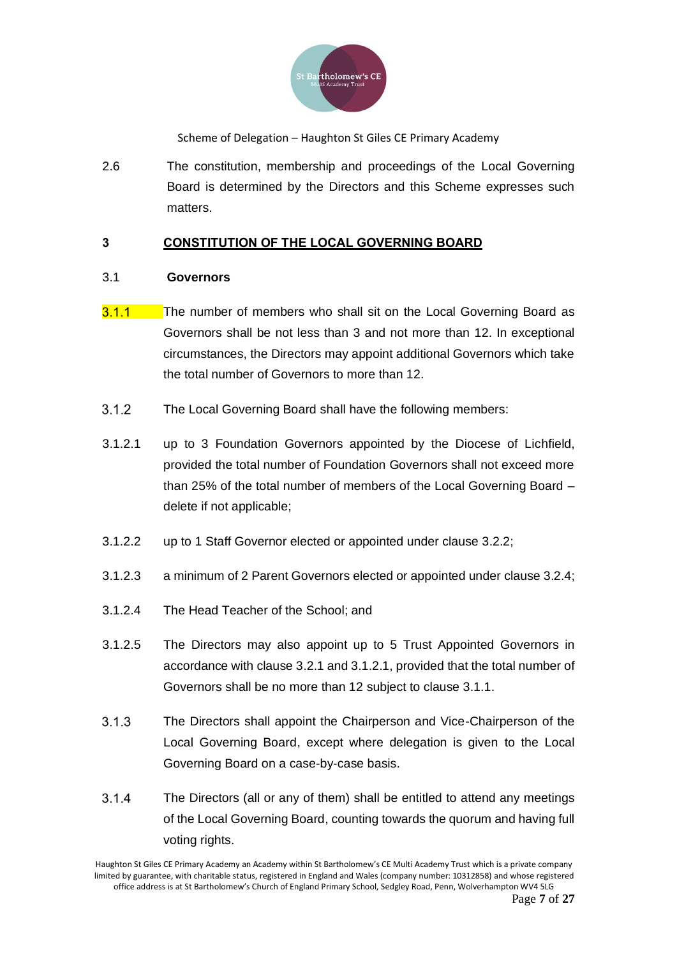

2.6 The constitution, membership and proceedings of the Local Governing Board is determined by the Directors and this Scheme expresses such matters.

### **3 CONSTITUTION OF THE LOCAL GOVERNING BOARD**

### 3.1 **Governors**

- $3.1.1$ The number of members who shall sit on the Local Governing Board as Governors shall be not less than 3 and not more than 12. In exceptional circumstances, the Directors may appoint additional Governors which take the total number of Governors to more than 12.
- $312$ The Local Governing Board shall have the following members:
- 3.1.2.1 up to 3 Foundation Governors appointed by the Diocese of Lichfield, provided the total number of Foundation Governors shall not exceed more than 25% of the total number of members of the Local Governing Board – delete if not applicable;
- 3.1.2.2 up to 1 Staff Governor elected or appointed under clause 3.2.2;
- 3.1.2.3 a minimum of 2 Parent Governors elected or appointed under clause 3.2.4;
- 3.1.2.4 The Head Teacher of the School; and
- 3.1.2.5 The Directors may also appoint up to 5 Trust Appointed Governors in accordance with clause 3.2.1 and 3.1.2.1, provided that the total number of Governors shall be no more than 12 subject to clause 3.1.1.
- $3.1.3$ The Directors shall appoint the Chairperson and Vice-Chairperson of the Local Governing Board, except where delegation is given to the Local Governing Board on a case-by-case basis.
- $3.1.4$ The Directors (all or any of them) shall be entitled to attend any meetings of the Local Governing Board, counting towards the quorum and having full voting rights.

Haughton St Giles CE Primary Academy an Academy within St Bartholomew's CE Multi Academy Trust which is a private company limited by guarantee, with charitable status, registered in England and Wales (company number: 10312858) and whose registered office address is at St Bartholomew's Church of England Primary School, Sedgley Road, Penn, Wolverhampton WV4 5LG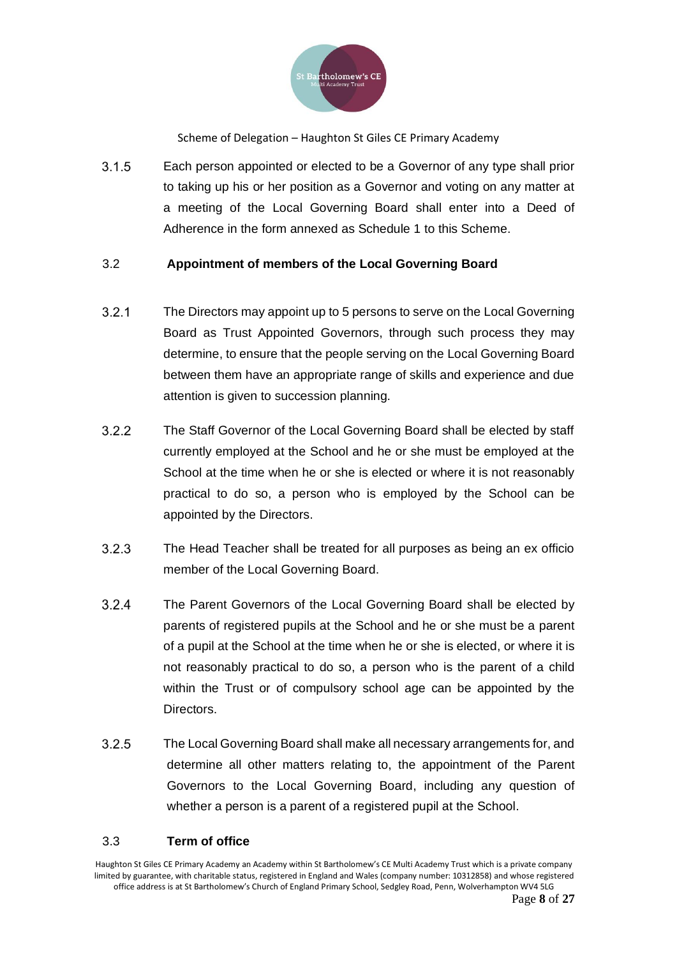

 $3.1.5$ Each person appointed or elected to be a Governor of any type shall prior to taking up his or her position as a Governor and voting on any matter at a meeting of the Local Governing Board shall enter into a Deed of Adherence in the form annexed as Schedule 1 to this Scheme.

### 3.2 **Appointment of members of the Local Governing Board**

- $3.2.1$ The Directors may appoint up to 5 persons to serve on the Local Governing Board as Trust Appointed Governors, through such process they may determine, to ensure that the people serving on the Local Governing Board between them have an appropriate range of skills and experience and due attention is given to succession planning.
- $3.2.2$ The Staff Governor of the Local Governing Board shall be elected by staff currently employed at the School and he or she must be employed at the School at the time when he or she is elected or where it is not reasonably practical to do so, a person who is employed by the School can be appointed by the Directors.
- $3.2.3$ The Head Teacher shall be treated for all purposes as being an ex officio member of the Local Governing Board.
- $3.2.4$ The Parent Governors of the Local Governing Board shall be elected by parents of registered pupils at the School and he or she must be a parent of a pupil at the School at the time when he or she is elected, or where it is not reasonably practical to do so, a person who is the parent of a child within the Trust or of compulsory school age can be appointed by the Directors.
- $3.2.5$ The Local Governing Board shall make all necessary arrangements for, and determine all other matters relating to, the appointment of the Parent Governors to the Local Governing Board, including any question of whether a person is a parent of a registered pupil at the School.

### 3.3 **Term of office**

Haughton St Giles CE Primary Academy an Academy within St Bartholomew's CE Multi Academy Trust which is a private company limited by guarantee, with charitable status, registered in England and Wales (company number: 10312858) and whose registered office address is at St Bartholomew's Church of England Primary School, Sedgley Road, Penn, Wolverhampton WV4 5LG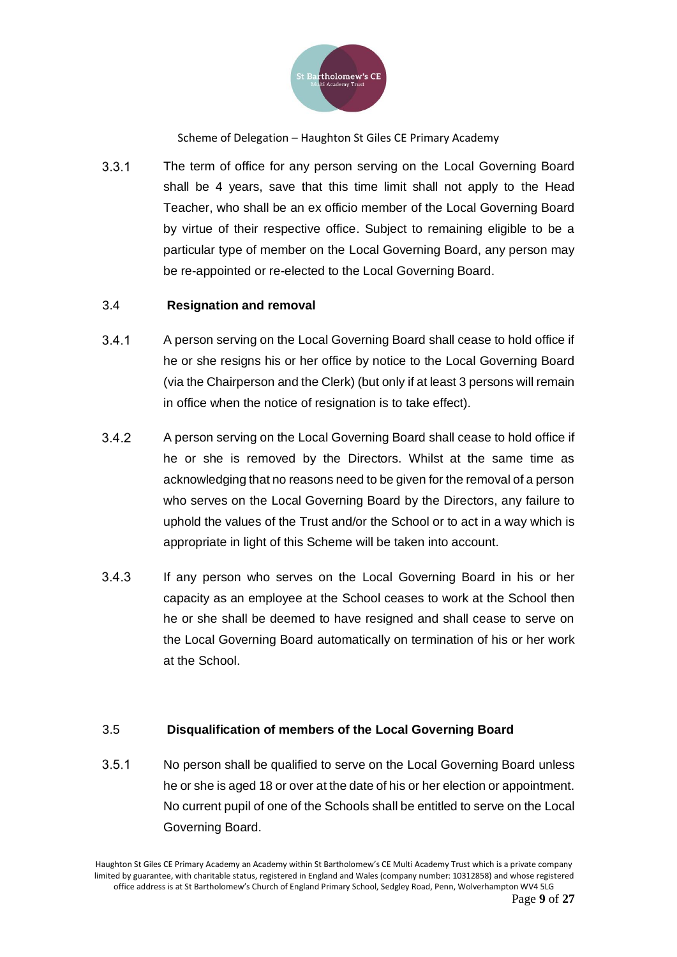

 $3.3.1$ The term of office for any person serving on the Local Governing Board shall be 4 years, save that this time limit shall not apply to the Head Teacher, who shall be an ex officio member of the Local Governing Board by virtue of their respective office. Subject to remaining eligible to be a particular type of member on the Local Governing Board, any person may be re-appointed or re-elected to the Local Governing Board.

### 3.4 **Resignation and removal**

- $3.4.1$ A person serving on the Local Governing Board shall cease to hold office if he or she resigns his or her office by notice to the Local Governing Board (via the Chairperson and the Clerk) (but only if at least 3 persons will remain in office when the notice of resignation is to take effect).
- $3.4.2$ A person serving on the Local Governing Board shall cease to hold office if he or she is removed by the Directors. Whilst at the same time as acknowledging that no reasons need to be given for the removal of a person who serves on the Local Governing Board by the Directors, any failure to uphold the values of the Trust and/or the School or to act in a way which is appropriate in light of this Scheme will be taken into account.
- $3.4.3$ If any person who serves on the Local Governing Board in his or her capacity as an employee at the School ceases to work at the School then he or she shall be deemed to have resigned and shall cease to serve on the Local Governing Board automatically on termination of his or her work at the School.

### 3.5 **Disqualification of members of the Local Governing Board**

 $3.5.1$ No person shall be qualified to serve on the Local Governing Board unless he or she is aged 18 or over at the date of his or her election or appointment. No current pupil of one of the Schools shall be entitled to serve on the Local Governing Board.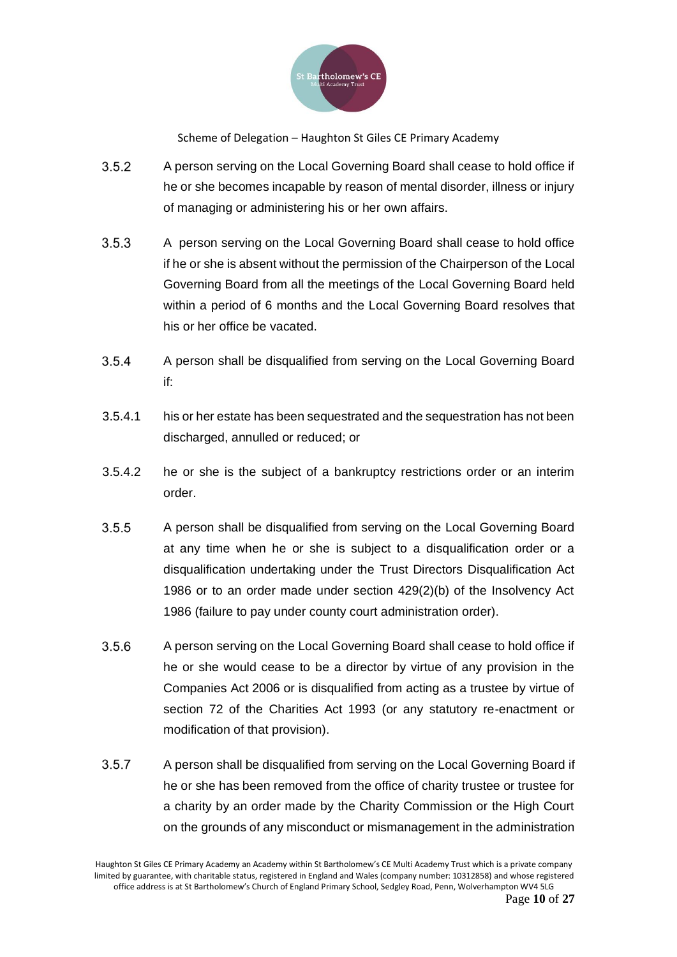

- $3.5.2$ A person serving on the Local Governing Board shall cease to hold office if he or she becomes incapable by reason of mental disorder, illness or injury of managing or administering his or her own affairs.
- $3.5.3$ A person serving on the Local Governing Board shall cease to hold office if he or she is absent without the permission of the Chairperson of the Local Governing Board from all the meetings of the Local Governing Board held within a period of 6 months and the Local Governing Board resolves that his or her office be vacated.
- $3.5.4$ A person shall be disqualified from serving on the Local Governing Board if:
- 3.5.4.1 his or her estate has been sequestrated and the sequestration has not been discharged, annulled or reduced; or
- 3.5.4.2 he or she is the subject of a bankruptcy restrictions order or an interim order.
- $3.5.5$ A person shall be disqualified from serving on the Local Governing Board at any time when he or she is subject to a disqualification order or a disqualification undertaking under the Trust Directors Disqualification Act 1986 or to an order made under section 429(2)(b) of the Insolvency Act 1986 (failure to pay under county court administration order).
- $3.5.6$ A person serving on the Local Governing Board shall cease to hold office if he or she would cease to be a director by virtue of any provision in the Companies Act 2006 or is disqualified from acting as a trustee by virtue of section 72 of the Charities Act 1993 (or any statutory re-enactment or modification of that provision).
- $3.5.7$ A person shall be disqualified from serving on the Local Governing Board if he or she has been removed from the office of charity trustee or trustee for a charity by an order made by the Charity Commission or the High Court on the grounds of any misconduct or mismanagement in the administration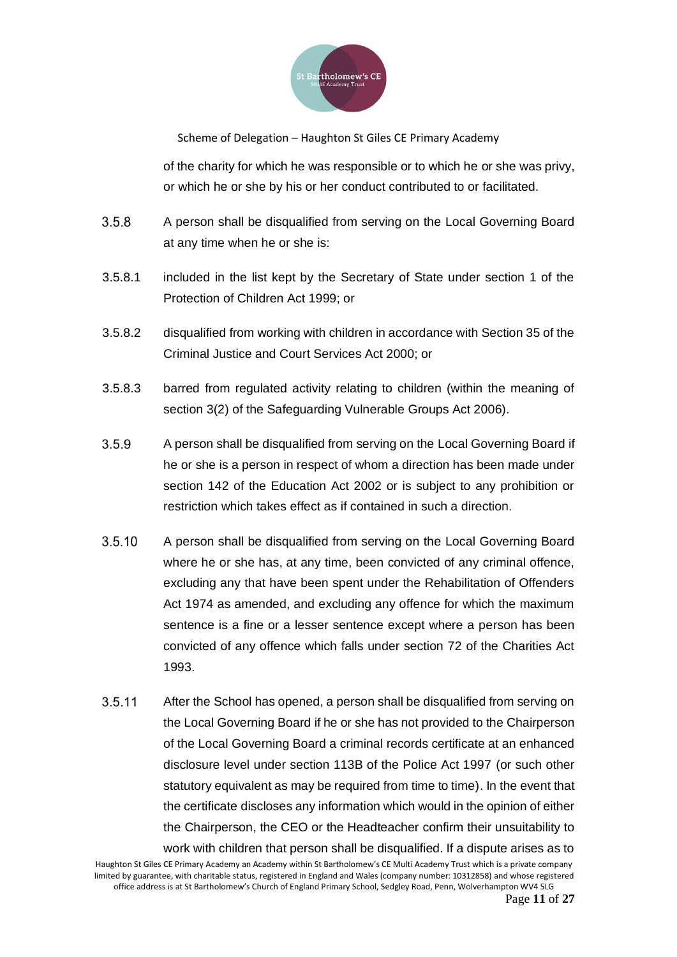

of the charity for which he was responsible or to which he or she was privy, or which he or she by his or her conduct contributed to or facilitated.

- $3.5.8$ A person shall be disqualified from serving on the Local Governing Board at any time when he or she is:
- 3.5.8.1 included in the list kept by the Secretary of State under section 1 of the Protection of Children Act 1999; or
- 3.5.8.2 disqualified from working with children in accordance with Section 35 of the Criminal Justice and Court Services Act 2000; or
- 3.5.8.3 barred from regulated activity relating to children (within the meaning of section 3(2) of the Safeguarding Vulnerable Groups Act 2006).
- 3.5.9 A person shall be disqualified from serving on the Local Governing Board if he or she is a person in respect of whom a direction has been made under section 142 of the Education Act 2002 or is subject to any prohibition or restriction which takes effect as if contained in such a direction.
- $3.5.10$ A person shall be disqualified from serving on the Local Governing Board where he or she has, at any time, been convicted of any criminal offence, excluding any that have been spent under the Rehabilitation of Offenders Act 1974 as amended, and excluding any offence for which the maximum sentence is a fine or a lesser sentence except where a person has been convicted of any offence which falls under section 72 of the Charities Act 1993.
- $3.5.11$ After the School has opened, a person shall be disqualified from serving on the Local Governing Board if he or she has not provided to the Chairperson of the Local Governing Board a criminal records certificate at an enhanced disclosure level under section 113B of the Police Act 1997 (or such other statutory equivalent as may be required from time to time). In the event that the certificate discloses any information which would in the opinion of either the Chairperson, the CEO or the Headteacher confirm their unsuitability to work with children that person shall be disqualified. If a dispute arises as to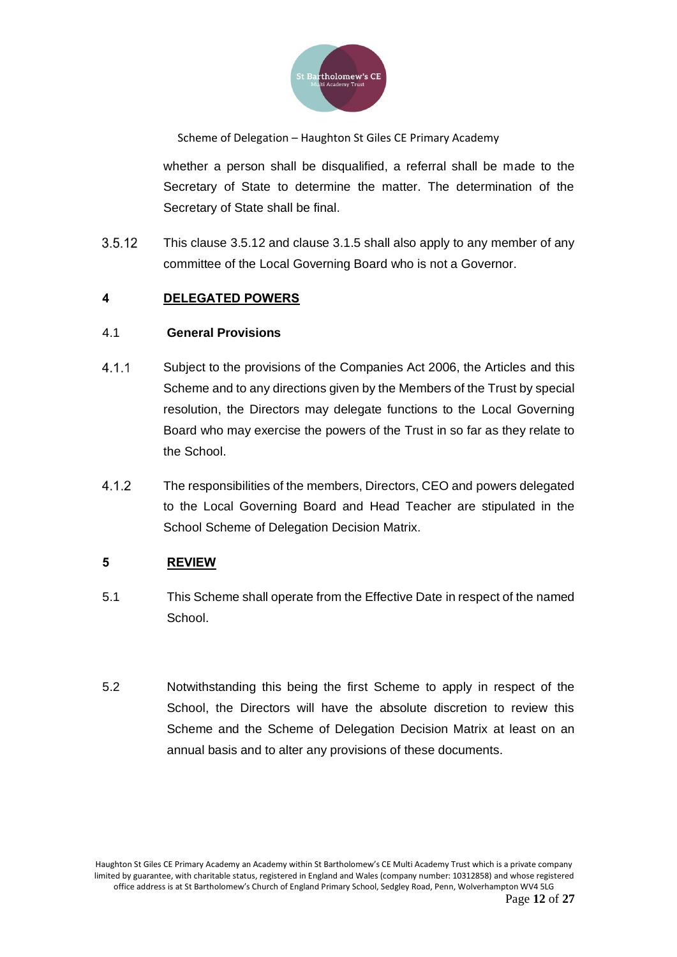

whether a person shall be disqualified, a referral shall be made to the Secretary of State to determine the matter. The determination of the Secretary of State shall be final.

 $3.5.12$ This clause 3.5.12 and clause 3.1.5 shall also apply to any member of any committee of the Local Governing Board who is not a Governor.

## **4 DELEGATED POWERS**

### 4.1 **General Provisions**

- $4.1.1$ Subject to the provisions of the Companies Act 2006, the Articles and this Scheme and to any directions given by the Members of the Trust by special resolution, the Directors may delegate functions to the Local Governing Board who may exercise the powers of the Trust in so far as they relate to the School.
- $4.1.2$ The responsibilities of the members, Directors, CEO and powers delegated to the Local Governing Board and Head Teacher are stipulated in the School Scheme of Delegation Decision Matrix.

## **5 REVIEW**

- 5.1 This Scheme shall operate from the Effective Date in respect of the named School.
- 5.2 Notwithstanding this being the first Scheme to apply in respect of the School, the Directors will have the absolute discretion to review this Scheme and the Scheme of Delegation Decision Matrix at least on an annual basis and to alter any provisions of these documents.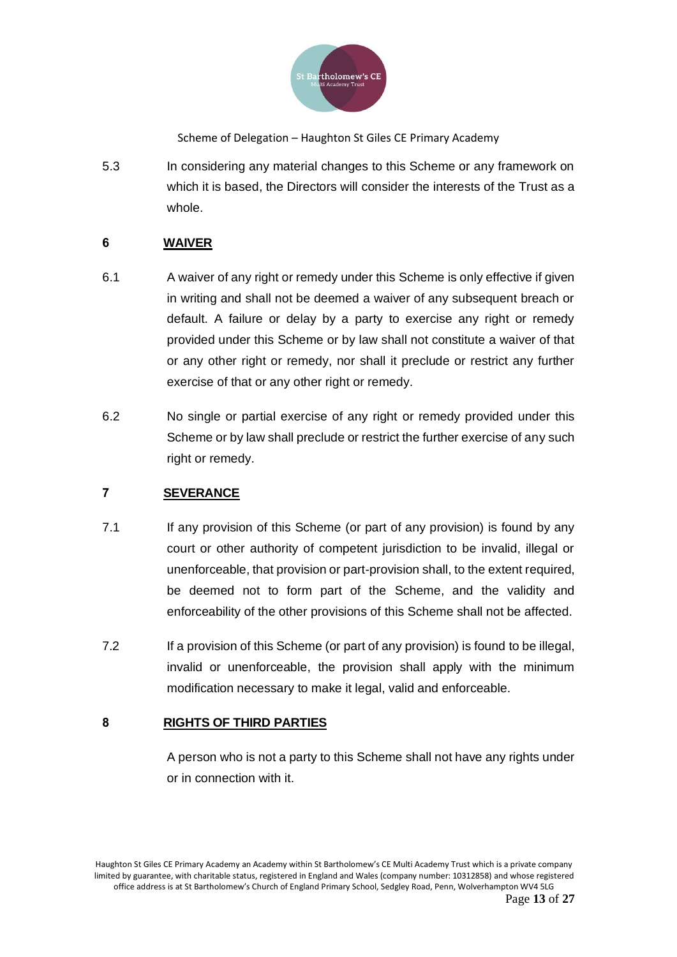

5.3 In considering any material changes to this Scheme or any framework on which it is based, the Directors will consider the interests of the Trust as a whole.

### **6 WAIVER**

- 6.1 A waiver of any right or remedy under this Scheme is only effective if given in writing and shall not be deemed a waiver of any subsequent breach or default. A failure or delay by a party to exercise any right or remedy provided under this Scheme or by law shall not constitute a waiver of that or any other right or remedy, nor shall it preclude or restrict any further exercise of that or any other right or remedy.
- 6.2 No single or partial exercise of any right or remedy provided under this Scheme or by law shall preclude or restrict the further exercise of any such right or remedy.

### **7 SEVERANCE**

- 7.1 If any provision of this Scheme (or part of any provision) is found by any court or other authority of competent jurisdiction to be invalid, illegal or unenforceable, that provision or part-provision shall, to the extent required, be deemed not to form part of the Scheme, and the validity and enforceability of the other provisions of this Scheme shall not be affected.
- 7.2 If a provision of this Scheme (or part of any provision) is found to be illegal, invalid or unenforceable, the provision shall apply with the minimum modification necessary to make it legal, valid and enforceable.

### **8 RIGHTS OF THIRD PARTIES**

A person who is not a party to this Scheme shall not have any rights under or in connection with it.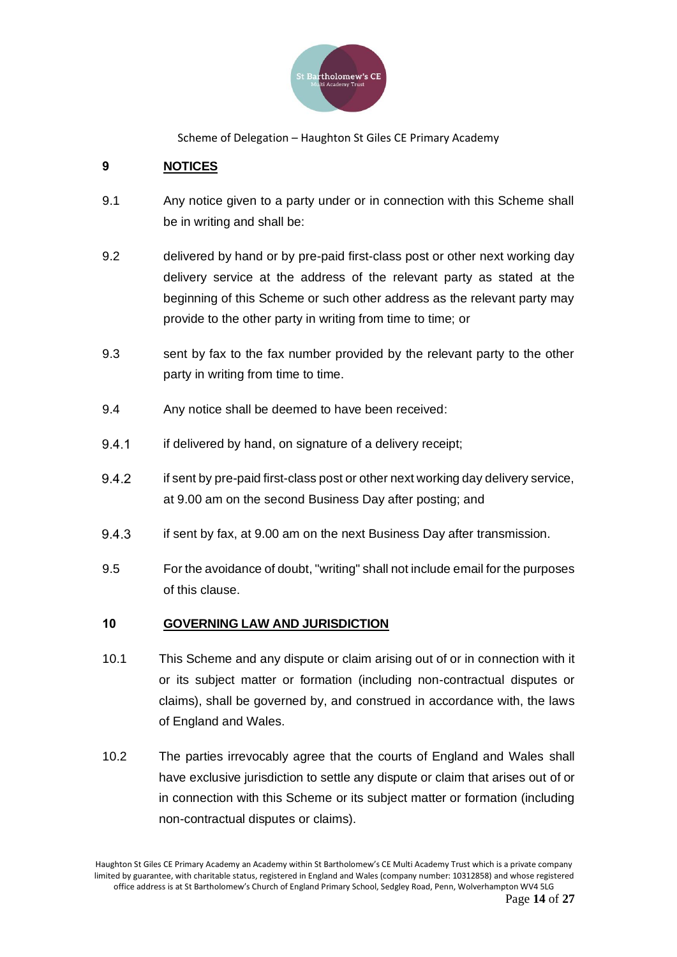

## **9 NOTICES**

- 9.1 Any notice given to a party under or in connection with this Scheme shall be in writing and shall be:
- 9.2 delivered by hand or by pre-paid first-class post or other next working day delivery service at the address of the relevant party as stated at the beginning of this Scheme or such other address as the relevant party may provide to the other party in writing from time to time; or
- 9.3 sent by fax to the fax number provided by the relevant party to the other party in writing from time to time.
- 9.4 Any notice shall be deemed to have been received:
- 941 if delivered by hand, on signature of a delivery receipt;
- 9.4.2 if sent by pre-paid first-class post or other next working day delivery service, at 9.00 am on the second Business Day after posting; and
- 9.4.3 if sent by fax, at 9.00 am on the next Business Day after transmission.
- 9.5 For the avoidance of doubt, "writing" shall not include email for the purposes of this clause.

### **10 GOVERNING LAW AND JURISDICTION**

- 10.1 This Scheme and any dispute or claim arising out of or in connection with it or its subject matter or formation (including non-contractual disputes or claims), shall be governed by, and construed in accordance with, the laws of England and Wales.
- 10.2 The parties irrevocably agree that the courts of England and Wales shall have exclusive jurisdiction to settle any dispute or claim that arises out of or in connection with this Scheme or its subject matter or formation (including non-contractual disputes or claims).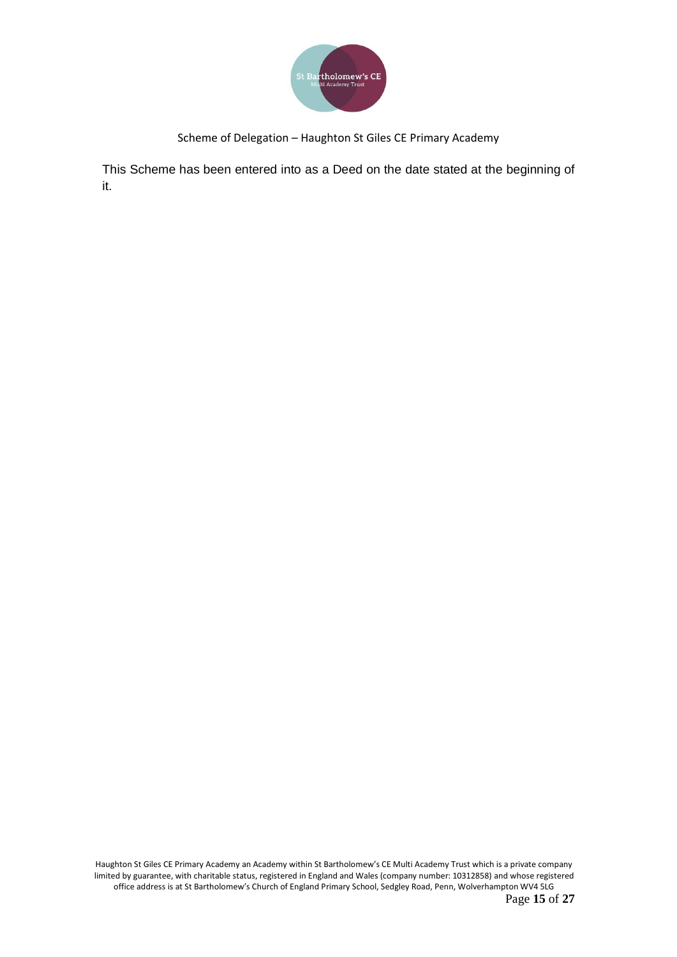

This Scheme has been entered into as a Deed on the date stated at the beginning of it.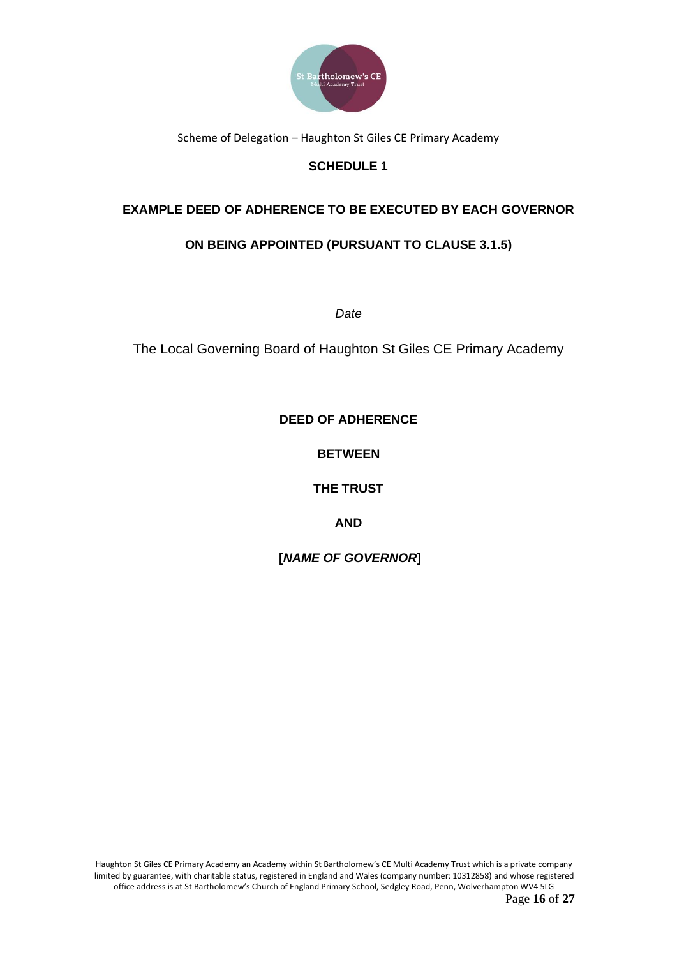

# **SCHEDULE 1**

## **EXAMPLE DEED OF ADHERENCE TO BE EXECUTED BY EACH GOVERNOR**

## **ON BEING APPOINTED (PURSUANT TO CLAUSE 3.1.5)**

*Date*

The Local Governing Board of Haughton St Giles CE Primary Academy

**DEED OF ADHERENCE**

**BETWEEN**

**THE TRUST**

**AND** 

**[***NAME OF GOVERNOR***]**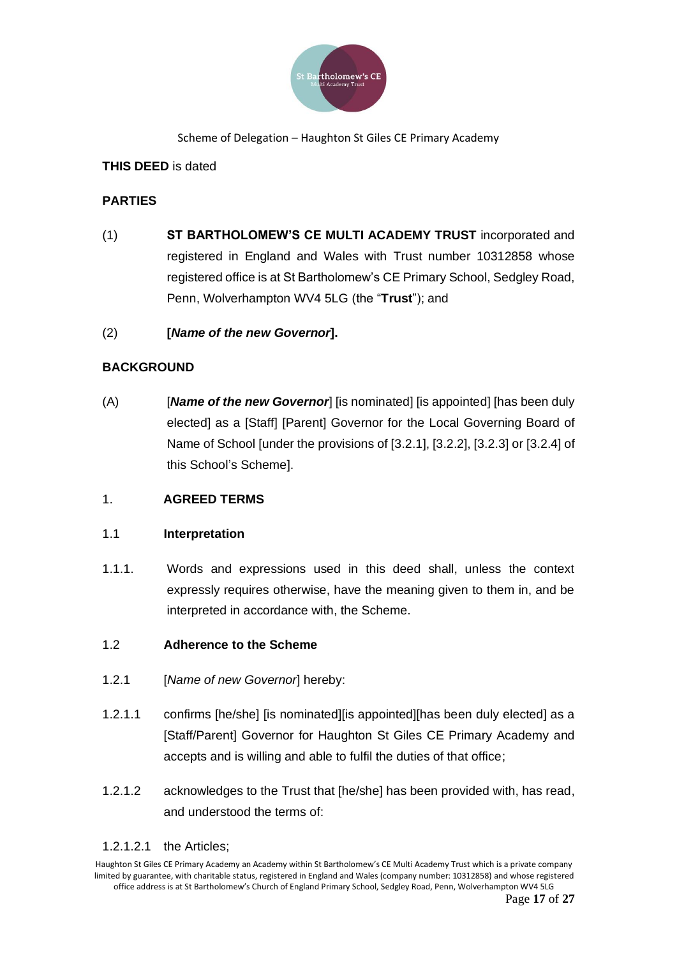

## **THIS DEED** is dated

## **PARTIES**

(1) **ST BARTHOLOMEW'S CE MULTI ACADEMY TRUST** incorporated and registered in England and Wales with Trust number 10312858 whose registered office is at St Bartholomew's CE Primary School, Sedgley Road, Penn, Wolverhampton WV4 5LG (the "**Trust**"); and

## (2) **[***Name of the new Governor***].**

## **BACKGROUND**

(A) [*Name of the new Governor*] [is nominated] [is appointed] [has been duly elected] as a [Staff] [Parent] Governor for the Local Governing Board of Name of School [under the provisions of [3.2.1], [3.2.2], [3.2.3] or [3.2.4] of this School's Scheme].

## 1. **AGREED TERMS**

## 1.1 **Interpretation**

1.1.1. Words and expressions used in this deed shall, unless the context expressly requires otherwise, have the meaning given to them in, and be interpreted in accordance with, the Scheme.

## 1.2 **Adherence to the Scheme**

- 1.2.1 [*Name of new Governor*] hereby:
- 1.2.1.1 confirms [he/she] [is nominated][is appointed][has been duly elected] as a [Staff/Parent] Governor for Haughton St Giles CE Primary Academy and accepts and is willing and able to fulfil the duties of that office;
- 1.2.1.2 acknowledges to the Trust that [he/she] has been provided with, has read, and understood the terms of:

### 1.2.1.2.1 the Articles;

Haughton St Giles CE Primary Academy an Academy within St Bartholomew's CE Multi Academy Trust which is a private company limited by guarantee, with charitable status, registered in England and Wales (company number: 10312858) and whose registered office address is at St Bartholomew's Church of England Primary School, Sedgley Road, Penn, Wolverhampton WV4 5LG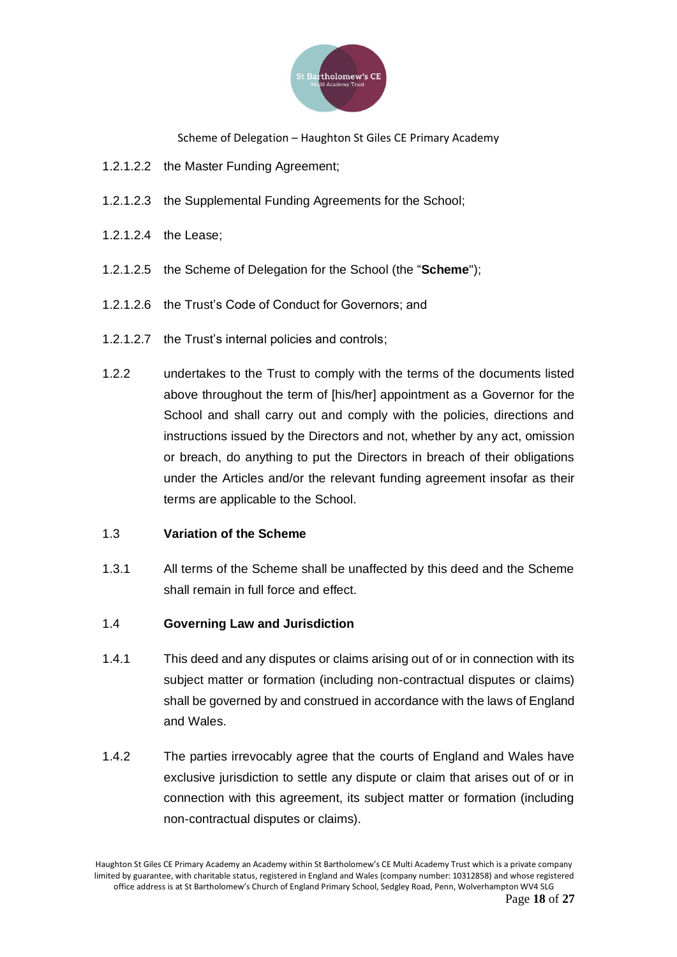

- 1.2.1.2.2 the Master Funding Agreement;
- 1.2.1.2.3 the Supplemental Funding Agreements for the School;
- 1.2.1.2.4 the Lease;
- 1.2.1.2.5 the Scheme of Delegation for the School (the "**Scheme**");
- 1.2.1.2.6 the Trust's Code of Conduct for Governors; and
- 1.2.1.2.7 the Trust's internal policies and controls;
- 1.2.2 undertakes to the Trust to comply with the terms of the documents listed above throughout the term of [his/her] appointment as a Governor for the School and shall carry out and comply with the policies, directions and instructions issued by the Directors and not, whether by any act, omission or breach, do anything to put the Directors in breach of their obligations under the Articles and/or the relevant funding agreement insofar as their terms are applicable to the School.

### 1.3 **Variation of the Scheme**

1.3.1 All terms of the Scheme shall be unaffected by this deed and the Scheme shall remain in full force and effect.

### 1.4 **Governing Law and Jurisdiction**

- 1.4.1 This deed and any disputes or claims arising out of or in connection with its subject matter or formation (including non-contractual disputes or claims) shall be governed by and construed in accordance with the laws of England and Wales.
- 1.4.2 The parties irrevocably agree that the courts of England and Wales have exclusive jurisdiction to settle any dispute or claim that arises out of or in connection with this agreement, its subject matter or formation (including non-contractual disputes or claims).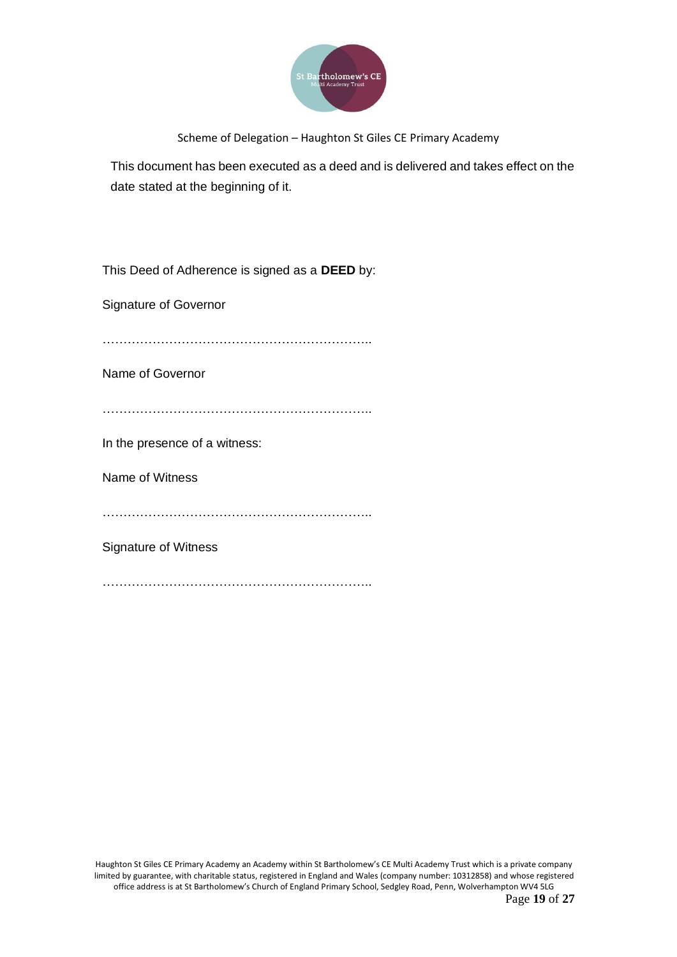

This document has been executed as a deed and is delivered and takes effect on the date stated at the beginning of it.

This Deed of Adherence is signed as a **DEED** by:

Signature of Governor

………………………………………………………..

Name of Governor

………………………………………………………..

In the presence of a witness:

Name of Witness

……………………………………………………………………

Signature of Witness

…………………………………………………………………………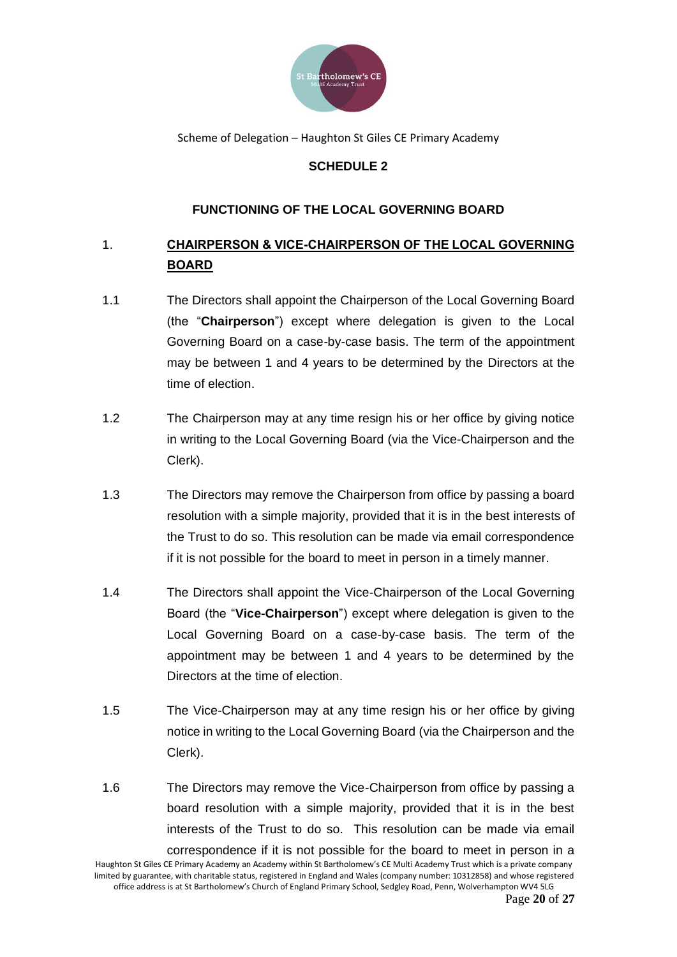

## **SCHEDULE 2**

## **FUNCTIONING OF THE LOCAL GOVERNING BOARD**

# 1. **CHAIRPERSON & VICE-CHAIRPERSON OF THE LOCAL GOVERNING BOARD**

- 1.1 The Directors shall appoint the Chairperson of the Local Governing Board (the "**Chairperson**") except where delegation is given to the Local Governing Board on a case-by-case basis. The term of the appointment may be between 1 and 4 years to be determined by the Directors at the time of election.
- 1.2 The Chairperson may at any time resign his or her office by giving notice in writing to the Local Governing Board (via the Vice-Chairperson and the Clerk).
- 1.3 The Directors may remove the Chairperson from office by passing a board resolution with a simple majority, provided that it is in the best interests of the Trust to do so. This resolution can be made via email correspondence if it is not possible for the board to meet in person in a timely manner.
- 1.4 The Directors shall appoint the Vice-Chairperson of the Local Governing Board (the "**Vice-Chairperson**") except where delegation is given to the Local Governing Board on a case-by-case basis. The term of the appointment may be between 1 and 4 years to be determined by the Directors at the time of election.
- 1.5 The Vice-Chairperson may at any time resign his or her office by giving notice in writing to the Local Governing Board (via the Chairperson and the Clerk).
- 1.6 The Directors may remove the Vice-Chairperson from office by passing a board resolution with a simple majority, provided that it is in the best interests of the Trust to do so. This resolution can be made via email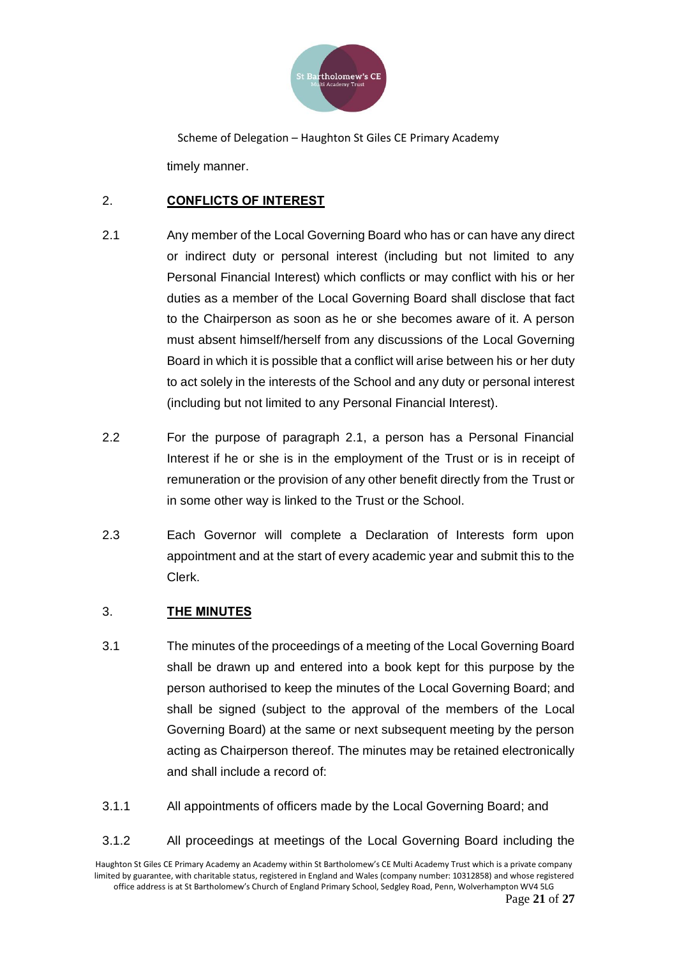

Scheme of Delegation – Haughton St Giles CE Primary Academy timely manner.

## 2. **CONFLICTS OF INTEREST**

- 2.1 Any member of the Local Governing Board who has or can have any direct or indirect duty or personal interest (including but not limited to any Personal Financial Interest) which conflicts or may conflict with his or her duties as a member of the Local Governing Board shall disclose that fact to the Chairperson as soon as he or she becomes aware of it. A person must absent himself/herself from any discussions of the Local Governing Board in which it is possible that a conflict will arise between his or her duty to act solely in the interests of the School and any duty or personal interest (including but not limited to any Personal Financial Interest).
- 2.2 For the purpose of paragraph 2.1, a person has a Personal Financial Interest if he or she is in the employment of the Trust or is in receipt of remuneration or the provision of any other benefit directly from the Trust or in some other way is linked to the Trust or the School.
- 2.3 Each Governor will complete a Declaration of Interests form upon appointment and at the start of every academic year and submit this to the Clerk.

## 3. **THE MINUTES**

- 3.1 The minutes of the proceedings of a meeting of the Local Governing Board shall be drawn up and entered into a book kept for this purpose by the person authorised to keep the minutes of the Local Governing Board; and shall be signed (subject to the approval of the members of the Local Governing Board) at the same or next subsequent meeting by the person acting as Chairperson thereof. The minutes may be retained electronically and shall include a record of:
- 3.1.1 All appointments of officers made by the Local Governing Board; and
- 3.1.2 All proceedings at meetings of the Local Governing Board including the

Haughton St Giles CE Primary Academy an Academy within St Bartholomew's CE Multi Academy Trust which is a private company limited by guarantee, with charitable status, registered in England and Wales (company number: 10312858) and whose registered office address is at St Bartholomew's Church of England Primary School, Sedgley Road, Penn, Wolverhampton WV4 5LG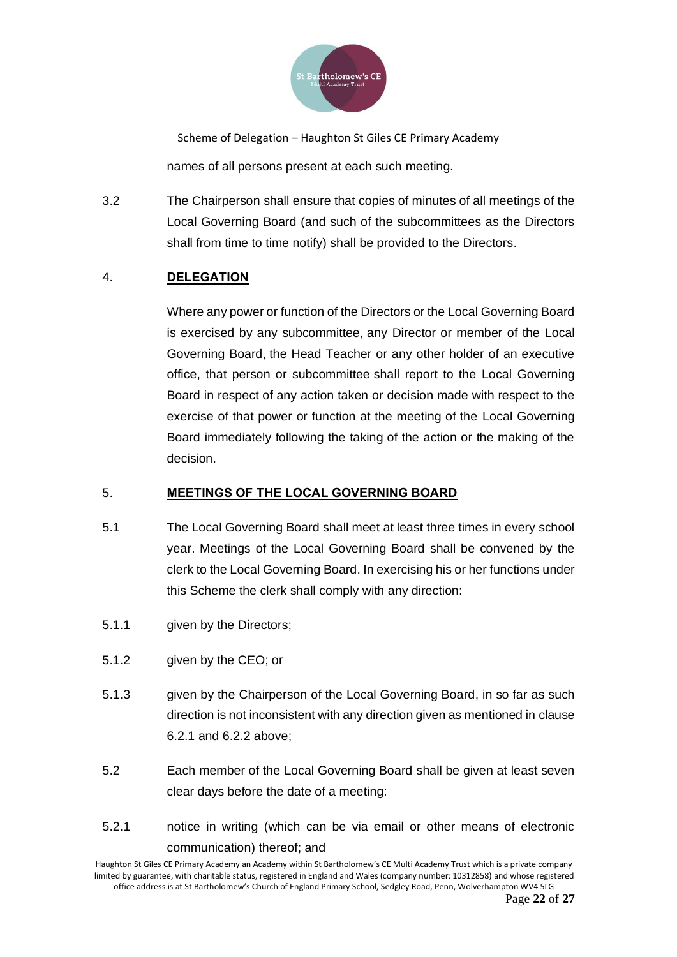

Scheme of Delegation – Haughton St Giles CE Primary Academy names of all persons present at each such meeting.

3.2 The Chairperson shall ensure that copies of minutes of all meetings of the Local Governing Board (and such of the subcommittees as the Directors shall from time to time notify) shall be provided to the Directors.

## 4. **DELEGATION**

Where any power or function of the Directors or the Local Governing Board is exercised by any subcommittee, any Director or member of the Local Governing Board, the Head Teacher or any other holder of an executive office, that person or subcommittee shall report to the Local Governing Board in respect of any action taken or decision made with respect to the exercise of that power or function at the meeting of the Local Governing Board immediately following the taking of the action or the making of the decision.

### 5. **MEETINGS OF THE LOCAL GOVERNING BOARD**

- 5.1 The Local Governing Board shall meet at least three times in every school year. Meetings of the Local Governing Board shall be convened by the clerk to the Local Governing Board. In exercising his or her functions under this Scheme the clerk shall comply with any direction:
- 5.1.1 given by the Directors;
- 5.1.2 given by the CEO; or
- 5.1.3 given by the Chairperson of the Local Governing Board, in so far as such direction is not inconsistent with any direction given as mentioned in clause 6.2.1 and 6.2.2 above;
- 5.2 Each member of the Local Governing Board shall be given at least seven clear days before the date of a meeting:
- 5.2.1 notice in writing (which can be via email or other means of electronic communication) thereof; and

Haughton St Giles CE Primary Academy an Academy within St Bartholomew's CE Multi Academy Trust which is a private company limited by guarantee, with charitable status, registered in England and Wales (company number: 10312858) and whose registered office address is at St Bartholomew's Church of England Primary School, Sedgley Road, Penn, Wolverhampton WV4 5LG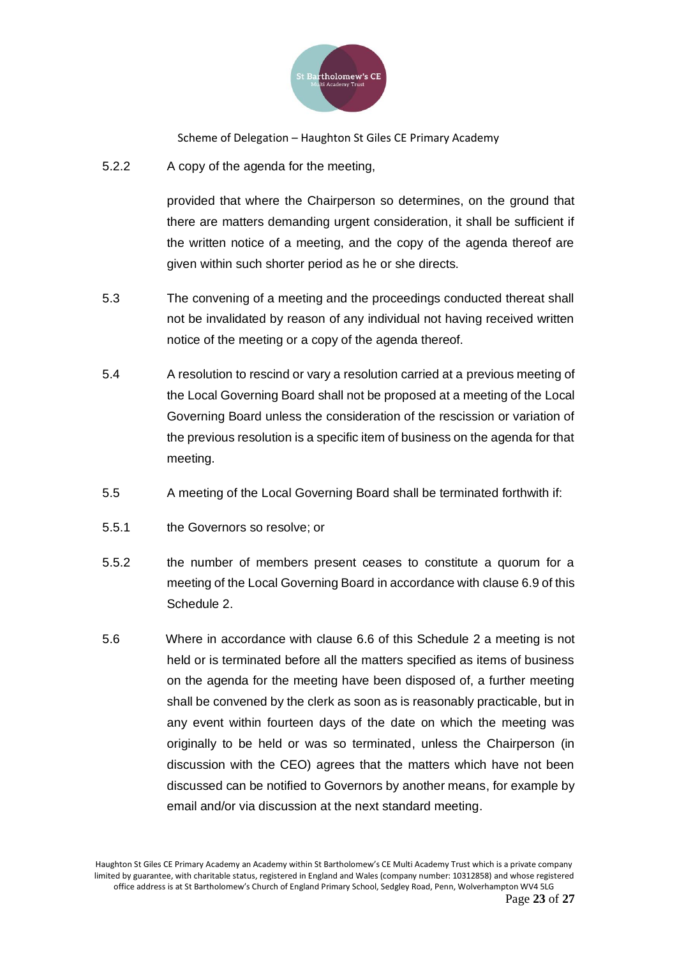

5.2.2 A copy of the agenda for the meeting,

provided that where the Chairperson so determines, on the ground that there are matters demanding urgent consideration, it shall be sufficient if the written notice of a meeting, and the copy of the agenda thereof are given within such shorter period as he or she directs.

- 5.3 The convening of a meeting and the proceedings conducted thereat shall not be invalidated by reason of any individual not having received written notice of the meeting or a copy of the agenda thereof.
- 5.4 A resolution to rescind or vary a resolution carried at a previous meeting of the Local Governing Board shall not be proposed at a meeting of the Local Governing Board unless the consideration of the rescission or variation of the previous resolution is a specific item of business on the agenda for that meeting.
- 5.5 A meeting of the Local Governing Board shall be terminated forthwith if:
- 5.5.1 the Governors so resolve; or
- 5.5.2 the number of members present ceases to constitute a quorum for a meeting of the Local Governing Board in accordance with clause 6.9 of this Schedule 2.
- 5.6 Where in accordance with clause 6.6 of this Schedule 2 a meeting is not held or is terminated before all the matters specified as items of business on the agenda for the meeting have been disposed of, a further meeting shall be convened by the clerk as soon as is reasonably practicable, but in any event within fourteen days of the date on which the meeting was originally to be held or was so terminated, unless the Chairperson (in discussion with the CEO) agrees that the matters which have not been discussed can be notified to Governors by another means, for example by email and/or via discussion at the next standard meeting.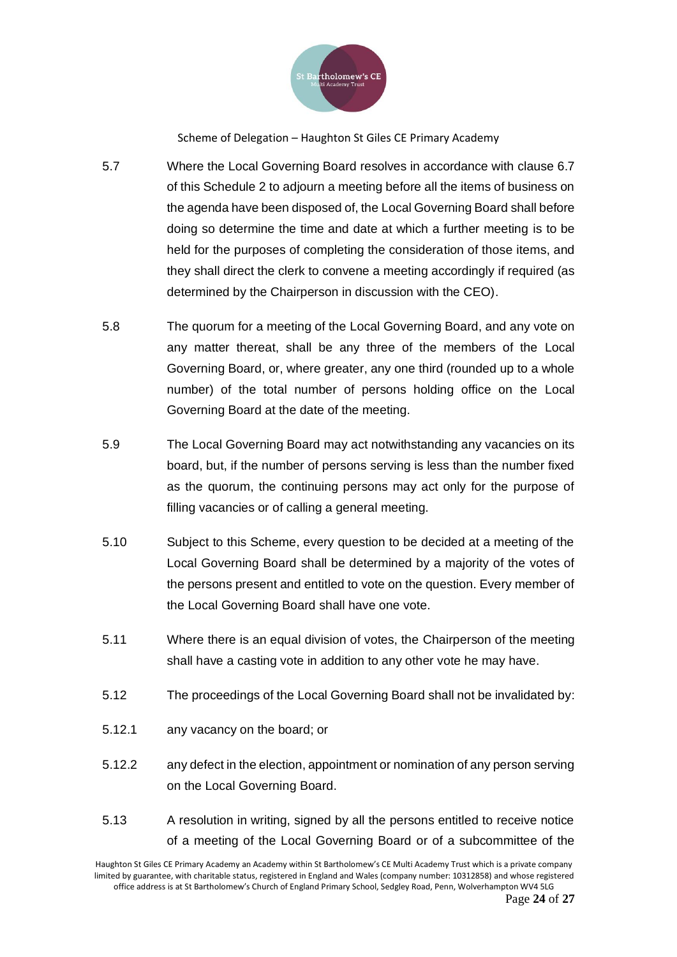

- 5.7 Where the Local Governing Board resolves in accordance with clause 6.7 of this Schedule 2 to adjourn a meeting before all the items of business on the agenda have been disposed of, the Local Governing Board shall before doing so determine the time and date at which a further meeting is to be held for the purposes of completing the consideration of those items, and they shall direct the clerk to convene a meeting accordingly if required (as determined by the Chairperson in discussion with the CEO).
- 5.8 The quorum for a meeting of the Local Governing Board, and any vote on any matter thereat, shall be any three of the members of the Local Governing Board, or, where greater, any one third (rounded up to a whole number) of the total number of persons holding office on the Local Governing Board at the date of the meeting.
- 5.9 The Local Governing Board may act notwithstanding any vacancies on its board, but, if the number of persons serving is less than the number fixed as the quorum, the continuing persons may act only for the purpose of filling vacancies or of calling a general meeting.
- 5.10 Subject to this Scheme, every question to be decided at a meeting of the Local Governing Board shall be determined by a majority of the votes of the persons present and entitled to vote on the question. Every member of the Local Governing Board shall have one vote.
- 5.11 Where there is an equal division of votes, the Chairperson of the meeting shall have a casting vote in addition to any other vote he may have.
- 5.12 The proceedings of the Local Governing Board shall not be invalidated by:
- 5.12.1 any vacancy on the board; or
- 5.12.2 any defect in the election, appointment or nomination of any person serving on the Local Governing Board.
- 5.13 A resolution in writing, signed by all the persons entitled to receive notice of a meeting of the Local Governing Board or of a subcommittee of the

Haughton St Giles CE Primary Academy an Academy within St Bartholomew's CE Multi Academy Trust which is a private company limited by guarantee, with charitable status, registered in England and Wales (company number: 10312858) and whose registered office address is at St Bartholomew's Church of England Primary School, Sedgley Road, Penn, Wolverhampton WV4 5LG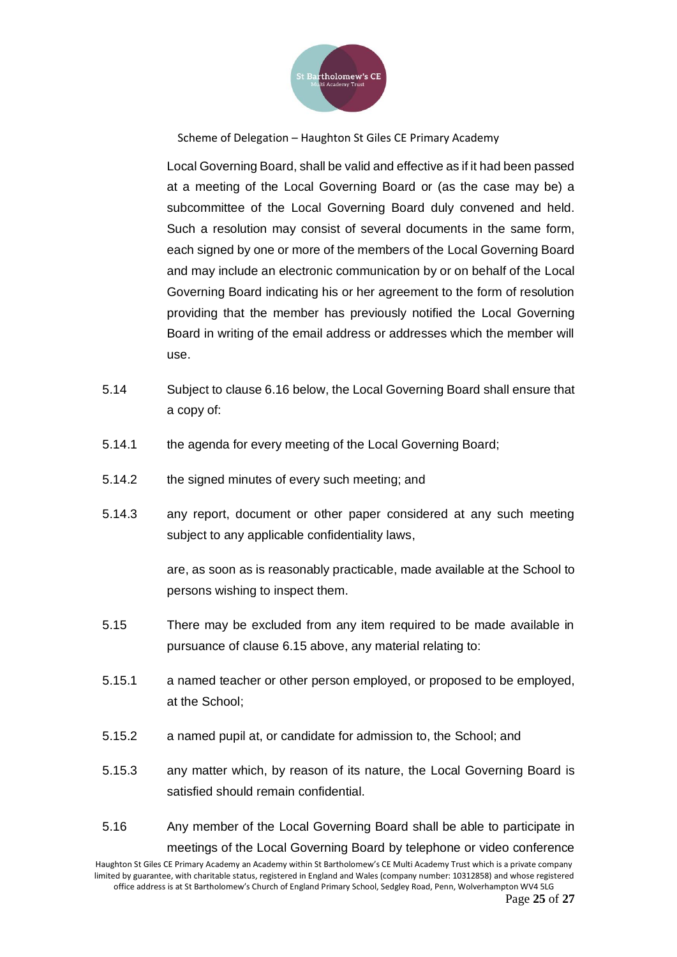

Local Governing Board, shall be valid and effective as if it had been passed at a meeting of the Local Governing Board or (as the case may be) a subcommittee of the Local Governing Board duly convened and held. Such a resolution may consist of several documents in the same form, each signed by one or more of the members of the Local Governing Board and may include an electronic communication by or on behalf of the Local Governing Board indicating his or her agreement to the form of resolution providing that the member has previously notified the Local Governing Board in writing of the email address or addresses which the member will use.

- 5.14 Subject to clause 6.16 below, the Local Governing Board shall ensure that a copy of:
- 5.14.1 the agenda for every meeting of the Local Governing Board;
- 5.14.2 the signed minutes of every such meeting; and
- 5.14.3 any report, document or other paper considered at any such meeting subject to any applicable confidentiality laws,

are, as soon as is reasonably practicable, made available at the School to persons wishing to inspect them.

- 5.15 There may be excluded from any item required to be made available in pursuance of clause 6.15 above, any material relating to:
- 5.15.1 a named teacher or other person employed, or proposed to be employed, at the School;
- 5.15.2 a named pupil at, or candidate for admission to, the School; and
- 5.15.3 any matter which, by reason of its nature, the Local Governing Board is satisfied should remain confidential.
- 5.16 Any member of the Local Governing Board shall be able to participate in meetings of the Local Governing Board by telephone or video conference

Haughton St Giles CE Primary Academy an Academy within St Bartholomew's CE Multi Academy Trust which is a private company limited by guarantee, with charitable status, registered in England and Wales (company number: 10312858) and whose registered office address is at St Bartholomew's Church of England Primary School, Sedgley Road, Penn, Wolverhampton WV4 5LG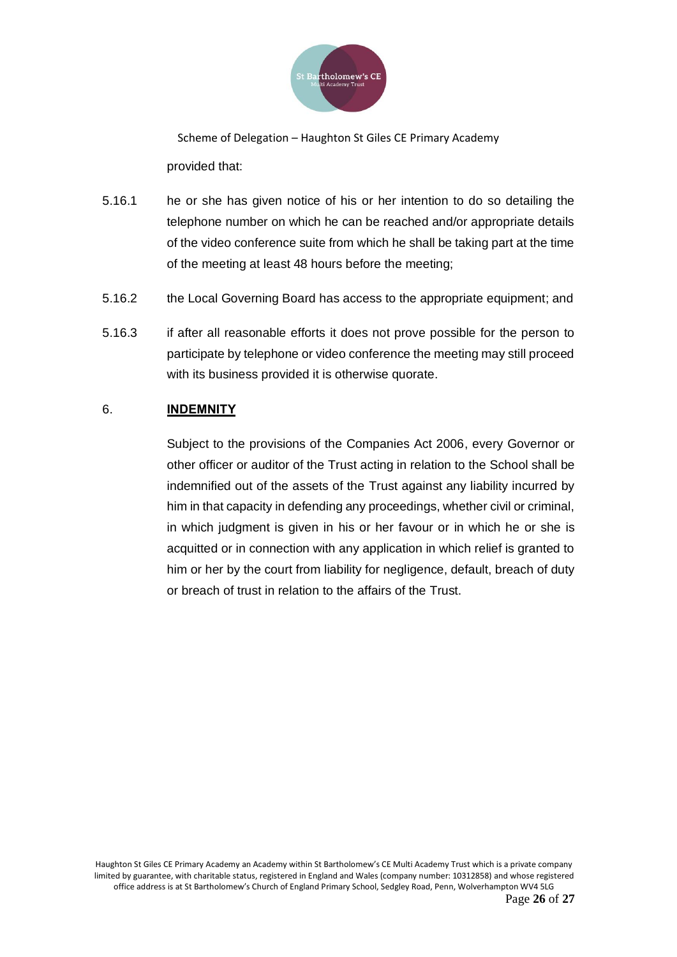

Scheme of Delegation – Haughton St Giles CE Primary Academy provided that:

- 5.16.1 he or she has given notice of his or her intention to do so detailing the telephone number on which he can be reached and/or appropriate details of the video conference suite from which he shall be taking part at the time of the meeting at least 48 hours before the meeting;
- 5.16.2 the Local Governing Board has access to the appropriate equipment; and
- 5.16.3 if after all reasonable efforts it does not prove possible for the person to participate by telephone or video conference the meeting may still proceed with its business provided it is otherwise quorate.

### 6. **INDEMNITY**

Subject to the provisions of the Companies Act 2006, every Governor or other officer or auditor of the Trust acting in relation to the School shall be indemnified out of the assets of the Trust against any liability incurred by him in that capacity in defending any proceedings, whether civil or criminal, in which judgment is given in his or her favour or in which he or she is acquitted or in connection with any application in which relief is granted to him or her by the court from liability for negligence, default, breach of duty or breach of trust in relation to the affairs of the Trust.